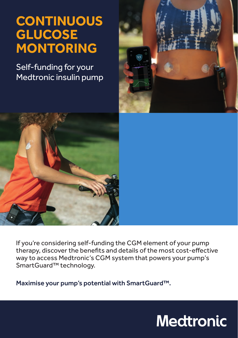## **CONTINUOUS GLUCOSE MONTORING**

Self-funding for your Medtronic insulin pump





If you're considering self-funding the CGM element of your pump therapy, discover the benefits and details of the most cost-effective way to access Medtronic's CGM system that powers your pump's SmartGuard™ technology.

Maximise your pump's potential with SmartGuard™.

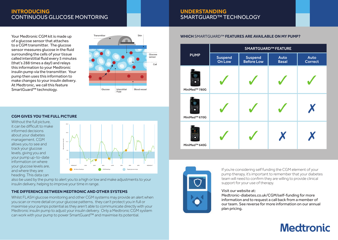### **INTRODUCING** CONTINUOUS GLUCOSE MONTORING

### **UNDERSTANDING** SMARTGUARD™ TECHNOLOGY

#### **WHICH** SMARTGUARD™ **FEATURES ARE AVAILABLE ON MY PUMP?**

Your Medtronic CGM kit is made up of a glucose sensor that attaches to a CGM transmitter. The glucose sensor measures glucose in the fluid surrounding the cells of your tissue called interstitial fluid every 5 minutes (that's 288 times a day!) and relays this information to your Medtronic insulin pump via the transmitter. Your pump then uses this information to make changes to your insulin delivery. At Medtronic, we call this feature SmartGuard™ technology.



#### **CGM GIVES YOU THE FULL PICTURE**

Without the full picture, it can be difficult to make informed decisions about your diabetes management. CGM allows you to see and track your glucose levels, giving you and your pump up-to-date information on where your glucose levels are, and where they are heading. This data can



also be used by the pump to alert you to a high or low and make adjustments to your insulin delivery, helping to improve your time in range.

#### **THE DIFFERENCE BETWEEN MEDTRONIC AND OTHER SYSTEMS**

Whilst FLASH glucose monitoring and other CGM systems may provide an alert when you scan or more detail on your glucose patterns, they can't protect you in full or maximise your pumps potential as they aren't able to communicate directly with your Medtronic insulin pump to adjust your insulin delivery. Only a Medtronic CGM system can work with your pump to power SmartGuard™ and maximise its potential.

|  | <b>PUMP</b>                                     | <b>SMARTGUARD™ FEATURE</b>      |                       |                      |                        |
|--|-------------------------------------------------|---------------------------------|-----------------------|----------------------|------------------------|
|  |                                                 | <b>Suspend</b><br><b>On Low</b> | Suspend<br>Before Low | Auto<br><b>Basal</b> | Auto<br><b>Correct</b> |
|  | MiniMed <sup>™</sup> 780G                       |                                 |                       |                      |                        |
|  | <b>4490</b><br>4.0<br>MiniMed <sup>™</sup> 670G |                                 |                       |                      | X                      |
|  | MiniMed <sup>™</sup> 640G                       |                                 |                       | X                    | X                      |



If you're considering self funding the CGM element of your pump therapy, it's important to remember that your diabetes team will need to confirm they are willing to provide clinical support for your use of therapy.

#### Visit our website at:

Medtronic-diabetes.co.uk/CGM/self-funding for more information and to request a call back from a member of our team. See reverse for more information on our annual plan pricing.

## **Medtronic**